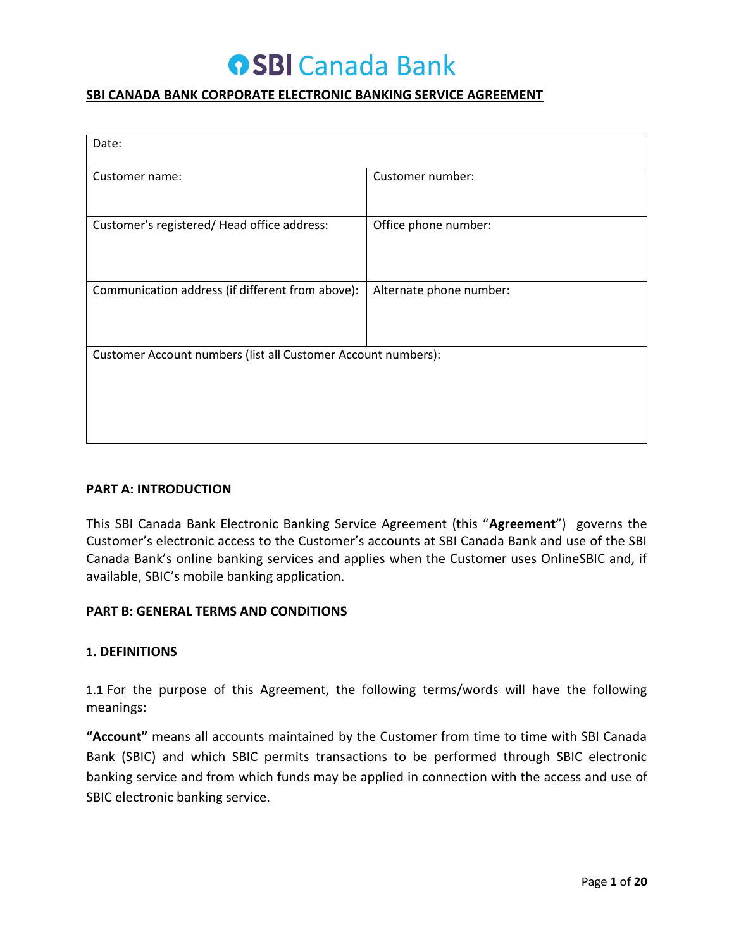# **OSBI Canada Bank**

#### **SBI CANADA BANK CORPORATE ELECTRONIC BANKING SERVICE AGREEMENT**

| Date:                                                         |                         |  |  |
|---------------------------------------------------------------|-------------------------|--|--|
| Customer name:                                                | Customer number:        |  |  |
| Customer's registered/Head office address:                    | Office phone number:    |  |  |
| Communication address (if different from above):              | Alternate phone number: |  |  |
| Customer Account numbers (list all Customer Account numbers): |                         |  |  |
|                                                               |                         |  |  |

#### **PART A: INTRODUCTION**

This SBI Canada Bank Electronic Banking Service Agreement (this "**Agreement**") governs the Customer's electronic access to the Customer's accounts at SBI Canada Bank and use of the SBI Canada Bank's online banking services and applies when the Customer uses OnlineSBIC and, if available, SBIC's mobile banking application.

#### **PART B: GENERAL TERMS AND CONDITIONS**

#### **1. DEFINITIONS**

1.1 For the purpose of this Agreement, the following terms/words will have the following meanings:

**"Account"** means all accounts maintained by the Customer from time to time with SBI Canada Bank (SBIC) and which SBIC permits transactions to be performed through SBIC electronic banking service and from which funds may be applied in connection with the access and use of SBIC electronic banking service.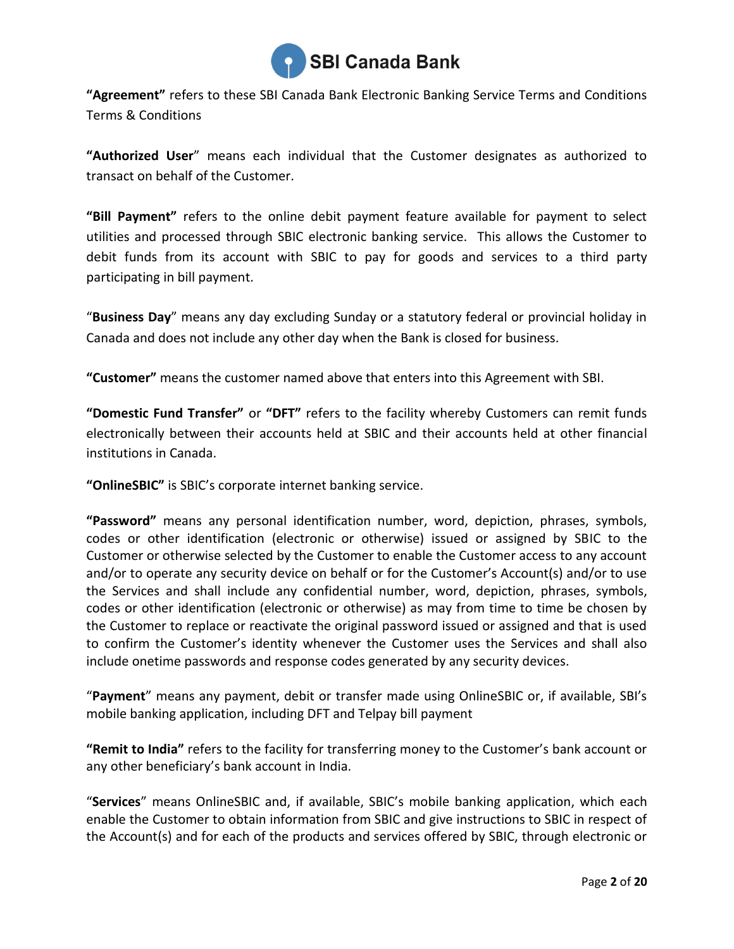

**"Agreement"** refers to these SBI Canada Bank Electronic Banking Service Terms and Conditions Terms & Conditions

**"Authorized User**" means each individual that the Customer designates as authorized to transact on behalf of the Customer.

**"Bill Payment"** refers to the online debit payment feature available for payment to select utilities and processed through SBIC electronic banking service. This allows the Customer to debit funds from its account with SBIC to pay for goods and services to a third party participating in bill payment.

"**Business Day**" means any day excluding Sunday or a statutory federal or provincial holiday in Canada and does not include any other day when the Bank is closed for business.

**"Customer"** means the customer named above that enters into this Agreement with SBI.

**"Domestic Fund Transfer"** or **"DFT"** refers to the facility whereby Customers can remit funds electronically between their accounts held at SBIC and their accounts held at other financial institutions in Canada.

**"OnlineSBIC"** is SBIC's corporate internet banking service.

**"Password"** means any personal identification number, word, depiction, phrases, symbols, codes or other identification (electronic or otherwise) issued or assigned by SBIC to the Customer or otherwise selected by the Customer to enable the Customer access to any account and/or to operate any security device on behalf or for the Customer's Account(s) and/or to use the Services and shall include any confidential number, word, depiction, phrases, symbols, codes or other identification (electronic or otherwise) as may from time to time be chosen by the Customer to replace or reactivate the original password issued or assigned and that is used to confirm the Customer's identity whenever the Customer uses the Services and shall also include onetime passwords and response codes generated by any security devices.

"**Payment**" means any payment, debit or transfer made using OnlineSBIC or, if available, SBI's mobile banking application, including DFT and Telpay bill payment

**"Remit to India"** refers to the facility for transferring money to the Customer's bank account or any other beneficiary's bank account in India.

"**Services**" means OnlineSBIC and, if available, SBIC's mobile banking application, which each enable the Customer to obtain information from SBIC and give instructions to SBIC in respect of the Account(s) and for each of the products and services offered by SBIC, through electronic or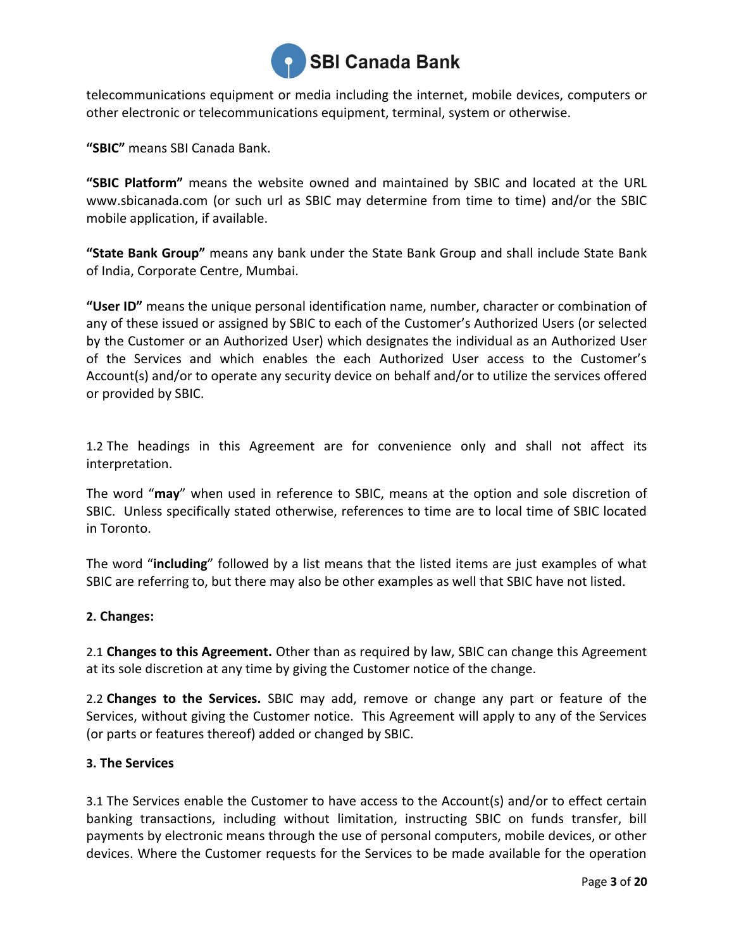

telecommunications equipment or media including the internet, mobile devices, computers or other electronic or telecommunications equipment, terminal, system or otherwise.

**"SBIC"** means SBI Canada Bank.

**"SBIC Platform"** means the website owned and maintained by SBIC and located at the URL [www.sbicanada.com](http://www.sbicanada.com/) (or such url as SBIC may determine from time to time) and/or the SBIC mobile application, if available.

**"State Bank Group"** means any bank under the State Bank Group and shall include State Bank of India, Corporate Centre, Mumbai.

**"User ID"** means the unique personal identification name, number, character or combination of any of these issued or assigned by SBIC to each of the Customer's Authorized Users (or selected by the Customer or an Authorized User) which designates the individual as an Authorized User of the Services and which enables the each Authorized User access to the Customer's Account(s) and/or to operate any security device on behalf and/or to utilize the services offered or provided by SBIC.

1.2 The headings in this Agreement are for convenience only and shall not affect its interpretation.

The word "**may**" when used in reference to SBIC, means at the option and sole discretion of SBIC. Unless specifically stated otherwise, references to time are to local time of SBIC located in Toronto.

The word "**including**" followed by a list means that the listed items are just examples of what SBIC are referring to, but there may also be other examples as well that SBIC have not listed.

# **2. Changes:**

2.1 **Changes to this Agreement.** Other than as required by law, SBIC can change this Agreement at its sole discretion at any time by giving the Customer notice of the change.

2.2 **Changes to the Services.** SBIC may add, remove or change any part or feature of the Services, without giving the Customer notice. This Agreement will apply to any of the Services (or parts or features thereof) added or changed by SBIC.

# **3. The Services**

3.1 The Services enable the Customer to have access to the Account(s) and/or to effect certain banking transactions, including without limitation, instructing SBIC on funds transfer, bill payments by electronic means through the use of personal computers, mobile devices, or other devices. Where the Customer requests for the Services to be made available for the operation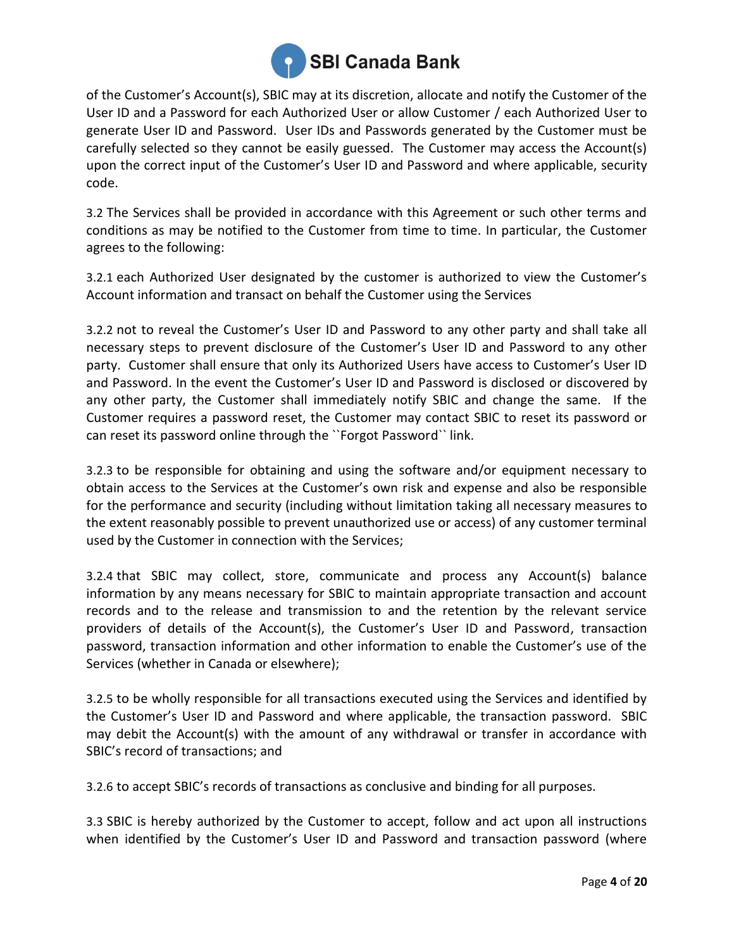

of the Customer's Account(s), SBIC may at its discretion, allocate and notify the Customer of the User ID and a Password for each Authorized User or allow Customer / each Authorized User to generate User ID and Password. User IDs and Passwords generated by the Customer must be carefully selected so they cannot be easily guessed. The Customer may access the Account(s) upon the correct input of the Customer's User ID and Password and where applicable, security code.

3.2 The Services shall be provided in accordance with this Agreement or such other terms and conditions as may be notified to the Customer from time to time. In particular, the Customer agrees to the following:

3.2.1 each Authorized User designated by the customer is authorized to view the Customer's Account information and transact on behalf the Customer using the Services

3.2.2 not to reveal the Customer's User ID and Password to any other party and shall take all necessary steps to prevent disclosure of the Customer's User ID and Password to any other party. Customer shall ensure that only its Authorized Users have access to Customer's User ID and Password. In the event the Customer's User ID and Password is disclosed or discovered by any other party, the Customer shall immediately notify SBIC and change the same. If the Customer requires a password reset, the Customer may contact SBIC to reset its password or can reset its password online through the ``Forgot Password`` link.

3.2.3 to be responsible for obtaining and using the software and/or equipment necessary to obtain access to the Services at the Customer's own risk and expense and also be responsible for the performance and security (including without limitation taking all necessary measures to the extent reasonably possible to prevent unauthorized use or access) of any customer terminal used by the Customer in connection with the Services;

3.2.4 that SBIC may collect, store, communicate and process any Account(s) balance information by any means necessary for SBIC to maintain appropriate transaction and account records and to the release and transmission to and the retention by the relevant service providers of details of the Account(s), the Customer's User ID and Password, transaction password, transaction information and other information to enable the Customer's use of the Services (whether in Canada or elsewhere);

3.2.5 to be wholly responsible for all transactions executed using the Services and identified by the Customer's User ID and Password and where applicable, the transaction password. SBIC may debit the Account(s) with the amount of any withdrawal or transfer in accordance with SBIC's record of transactions; and

3.2.6 to accept SBIC's records of transactions as conclusive and binding for all purposes.

3.3 SBIC is hereby authorized by the Customer to accept, follow and act upon all instructions when identified by the Customer's User ID and Password and transaction password (where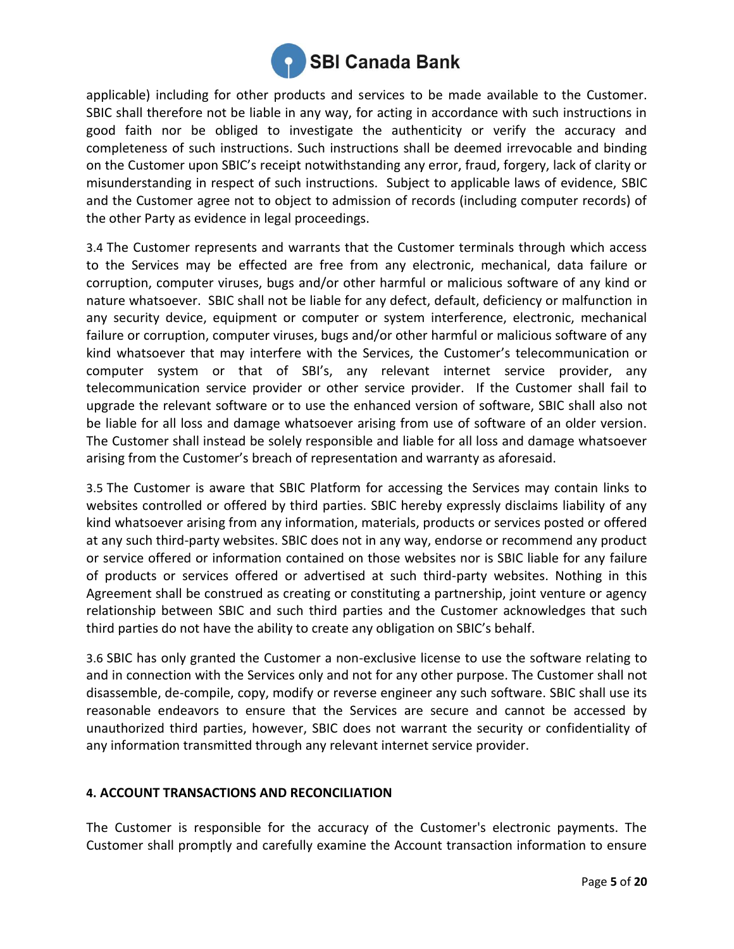

applicable) including for other products and services to be made available to the Customer. SBIC shall therefore not be liable in any way, for acting in accordance with such instructions in good faith nor be obliged to investigate the authenticity or verify the accuracy and completeness of such instructions. Such instructions shall be deemed irrevocable and binding on the Customer upon SBIC's receipt notwithstanding any error, fraud, forgery, lack of clarity or misunderstanding in respect of such instructions. Subject to applicable laws of evidence, SBIC and the Customer agree not to object to admission of records (including computer records) of the other Party as evidence in legal proceedings.

3.4 The Customer represents and warrants that the Customer terminals through which access to the Services may be effected are free from any electronic, mechanical, data failure or corruption, computer viruses, bugs and/or other harmful or malicious software of any kind or nature whatsoever. SBIC shall not be liable for any defect, default, deficiency or malfunction in any security device, equipment or computer or system interference, electronic, mechanical failure or corruption, computer viruses, bugs and/or other harmful or malicious software of any kind whatsoever that may interfere with the Services, the Customer's telecommunication or computer system or that of SBI's, any relevant internet service provider, any telecommunication service provider or other service provider. If the Customer shall fail to upgrade the relevant software or to use the enhanced version of software, SBIC shall also not be liable for all loss and damage whatsoever arising from use of software of an older version. The Customer shall instead be solely responsible and liable for all loss and damage whatsoever arising from the Customer's breach of representation and warranty as aforesaid.

3.5 The Customer is aware that SBIC Platform for accessing the Services may contain links to websites controlled or offered by third parties. SBIC hereby expressly disclaims liability of any kind whatsoever arising from any information, materials, products or services posted or offered at any such third-party websites. SBIC does not in any way, endorse or recommend any product or service offered or information contained on those websites nor is SBIC liable for any failure of products or services offered or advertised at such third-party websites. Nothing in this Agreement shall be construed as creating or constituting a partnership, joint venture or agency relationship between SBIC and such third parties and the Customer acknowledges that such third parties do not have the ability to create any obligation on SBIC's behalf.

3.6 SBIC has only granted the Customer a non-exclusive license to use the software relating to and in connection with the Services only and not for any other purpose. The Customer shall not disassemble, de-compile, copy, modify or reverse engineer any such software. SBIC shall use its reasonable endeavors to ensure that the Services are secure and cannot be accessed by unauthorized third parties, however, SBIC does not warrant the security or confidentiality of any information transmitted through any relevant internet service provider.

# **4. ACCOUNT TRANSACTIONS AND RECONCILIATION**

The Customer is responsible for the accuracy of the Customer's electronic payments. The Customer shall promptly and carefully examine the Account transaction information to ensure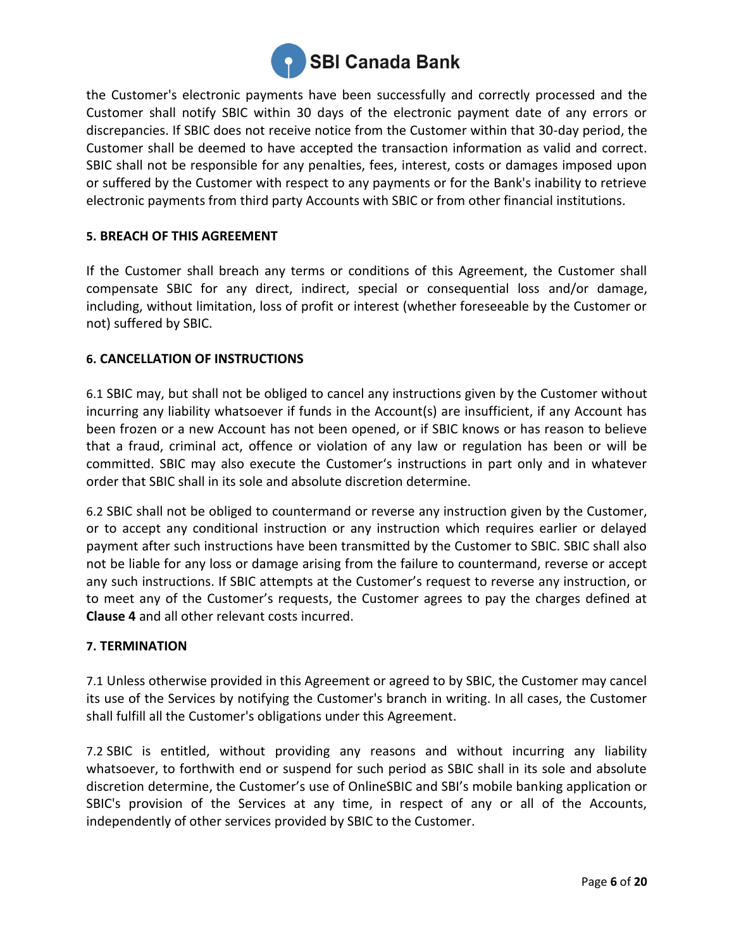

the Customer's electronic payments have been successfully and correctly processed and the Customer shall notify SBIC within 30 days of the electronic payment date of any errors or discrepancies. If SBIC does not receive notice from the Customer within that 30-day period, the Customer shall be deemed to have accepted the transaction information as valid and correct. SBIC shall not be responsible for any penalties, fees, interest, costs or damages imposed upon or suffered by the Customer with respect to any payments or for the Bank's inability to retrieve electronic payments from third party Accounts with SBIC or from other financial institutions.

# **5. BREACH OF THIS AGREEMENT**

If the Customer shall breach any terms or conditions of this Agreement, the Customer shall compensate SBIC for any direct, indirect, special or consequential loss and/or damage, including, without limitation, loss of profit or interest (whether foreseeable by the Customer or not) suffered by SBIC.

#### **6. CANCELLATION OF INSTRUCTIONS**

6.1 SBIC may, but shall not be obliged to cancel any instructions given by the Customer without incurring any liability whatsoever if funds in the Account(s) are insufficient, if any Account has been frozen or a new Account has not been opened, or if SBIC knows or has reason to believe that a fraud, criminal act, offence or violation of any law or regulation has been or will be committed. SBIC may also execute the Customer's instructions in part only and in whatever order that SBIC shall in its sole and absolute discretion determine.

6.2 SBIC shall not be obliged to countermand or reverse any instruction given by the Customer, or to accept any conditional instruction or any instruction which requires earlier or delayed payment after such instructions have been transmitted by the Customer to SBIC. SBIC shall also not be liable for any loss or damage arising from the failure to countermand, reverse or accept any such instructions. If SBIC attempts at the Customer's request to reverse any instruction, or to meet any of the Customer's requests, the Customer agrees to pay the charges defined at **Clause 4** and all other relevant costs incurred.

#### **7. TERMINATION**

7.1 Unless otherwise provided in this Agreement or agreed to by SBIC, the Customer may cancel its use of the Services by notifying the Customer's branch in writing. In all cases, the Customer shall fulfill all the Customer's obligations under this Agreement.

7.2 SBIC is entitled, without providing any reasons and without incurring any liability whatsoever, to forthwith end or suspend for such period as SBIC shall in its sole and absolute discretion determine, the Customer's use of OnlineSBIC and SBI's mobile banking application or SBIC's provision of the Services at any time, in respect of any or all of the Accounts, independently of other services provided by SBIC to the Customer.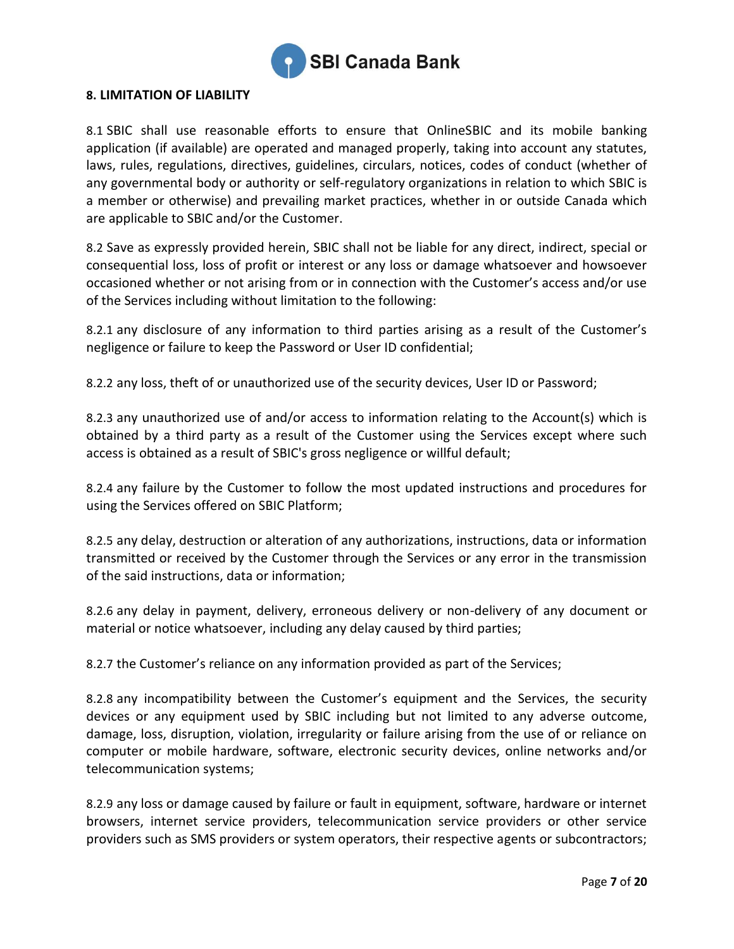

#### <span id="page-6-0"></span>**8. LIMITATION OF LIABILITY**

8.1 SBIC shall use reasonable efforts to ensure that OnlineSBIC and its mobile banking application (if available) are operated and managed properly, taking into account any statutes, laws, rules, regulations, directives, guidelines, circulars, notices, codes of conduct (whether of any governmental body or authority or self-regulatory organizations in relation to which SBIC is a member or otherwise) and prevailing market practices, whether in or outside Canada which are applicable to SBIC and/or the Customer.

8.2 Save as expressly provided herein, SBIC shall not be liable for any direct, indirect, special or consequential loss, loss of profit or interest or any loss or damage whatsoever and howsoever occasioned whether or not arising from or in connection with the Customer's access and/or use of the Services including without limitation to the following:

8.2.1 any disclosure of any information to third parties arising as a result of the Customer's negligence or failure to keep the Password or User ID confidential;

8.2.2 any loss, theft of or unauthorized use of the security devices, User ID or Password;

8.2.3 any unauthorized use of and/or access to information relating to the Account(s) which is obtained by a third party as a result of the Customer using the Services except where such access is obtained as a result of SBIC's gross negligence or willful default;

8.2.4 any failure by the Customer to follow the most updated instructions and procedures for using the Services offered on SBIC Platform;

8.2.5 any delay, destruction or alteration of any authorizations, instructions, data or information transmitted or received by the Customer through the Services or any error in the transmission of the said instructions, data or information;

8.2.6 any delay in payment, delivery, erroneous delivery or non-delivery of any document or material or notice whatsoever, including any delay caused by third parties;

8.2.7 the Customer's reliance on any information provided as part of the Services;

8.2.8 any incompatibility between the Customer's equipment and the Services, the security devices or any equipment used by SBIC including but not limited to any adverse outcome, damage, loss, disruption, violation, irregularity or failure arising from the use of or reliance on computer or mobile hardware, software, electronic security devices, online networks and/or telecommunication systems;

8.2.9 any loss or damage caused by failure or fault in equipment, software, hardware or internet browsers, internet service providers, telecommunication service providers or other service providers such as SMS providers or system operators, their respective agents or subcontractors;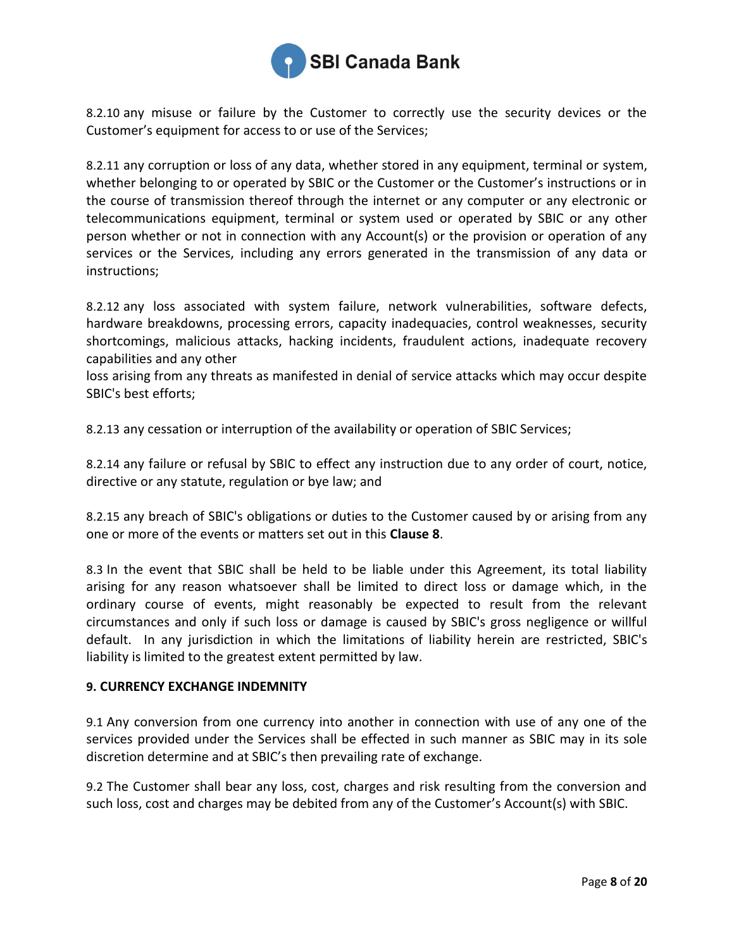

8.2.10 any misuse or failure by the Customer to correctly use the security devices or the Customer's equipment for access to or use of the Services;

8.2.11 any corruption or loss of any data, whether stored in any equipment, terminal or system, whether belonging to or operated by SBIC or the Customer or the Customer's instructions or in the course of transmission thereof through the internet or any computer or any electronic or telecommunications equipment, terminal or system used or operated by SBIC or any other person whether or not in connection with any Account(s) or the provision or operation of any services or the Services, including any errors generated in the transmission of any data or instructions;

8.2.12 any loss associated with system failure, network vulnerabilities, software defects, hardware breakdowns, processing errors, capacity inadequacies, control weaknesses, security shortcomings, malicious attacks, hacking incidents, fraudulent actions, inadequate recovery capabilities and any other

loss arising from any threats as manifested in denial of service attacks which may occur despite SBIC's best efforts;

8.2.13 any cessation or interruption of the availability or operation of SBIC Services;

8.2.14 any failure or refusal by SBIC to effect any instruction due to any order of court, notice, directive or any statute, regulation or bye law; and

8.2.15 any breach of SBIC's obligations or duties to the Customer caused by or arising from any one or more of the events or matters set out in this **Claus[e 8](#page-6-0)**.

8.3 In the event that SBIC shall be held to be liable under this Agreement, its total liability arising for any reason whatsoever shall be limited to direct loss or damage which, in the ordinary course of events, might reasonably be expected to result from the relevant circumstances and only if such loss or damage is caused by SBIC's gross negligence or willful default. In any jurisdiction in which the limitations of liability herein are restricted, SBIC's liability is limited to the greatest extent permitted by law.

#### **9. CURRENCY EXCHANGE INDEMNITY**

9.1 Any conversion from one currency into another in connection with use of any one of the services provided under the Services shall be effected in such manner as SBIC may in its sole discretion determine and at SBIC's then prevailing rate of exchange.

9.2 The Customer shall bear any loss, cost, charges and risk resulting from the conversion and such loss, cost and charges may be debited from any of the Customer's Account(s) with SBIC.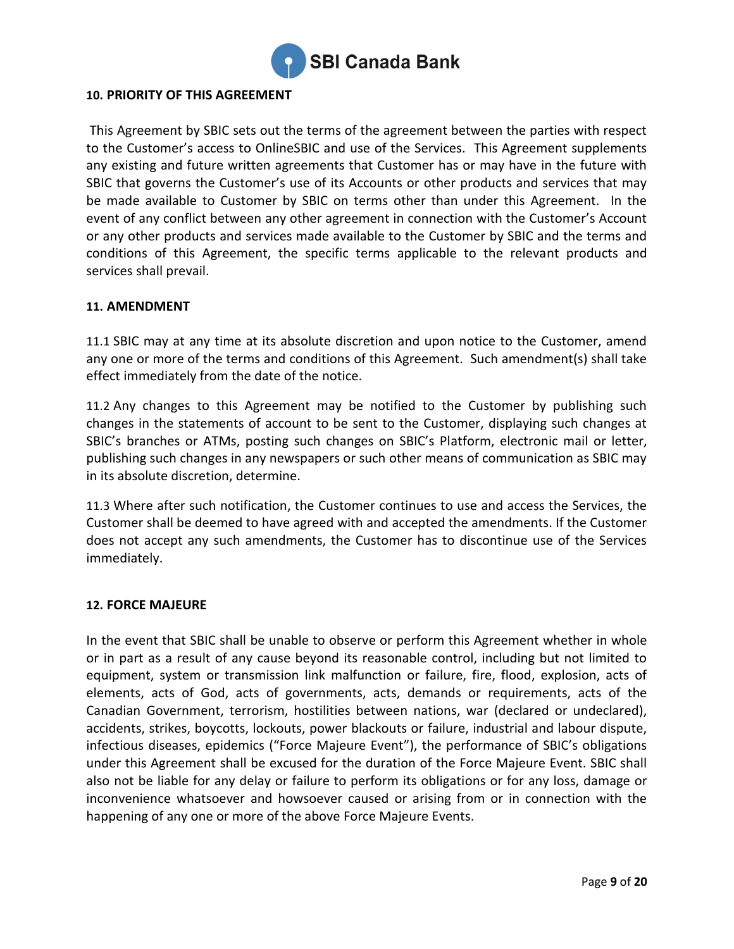

# **10. PRIORITY OF THIS AGREEMENT**

This Agreement by SBIC sets out the terms of the agreement between the parties with respect to the Customer's access to OnlineSBIC and use of the Services. This Agreement supplements any existing and future written agreements that Customer has or may have in the future with SBIC that governs the Customer's use of its Accounts or other products and services that may be made available to Customer by SBIC on terms other than under this Agreement. In the event of any conflict between any other agreement in connection with the Customer's Account or any other products and services made available to the Customer by SBIC and the terms and conditions of this Agreement, the specific terms applicable to the relevant products and services shall prevail.

#### **11. AMENDMENT**

11.1 SBIC may at any time at its absolute discretion and upon notice to the Customer, amend any one or more of the terms and conditions of this Agreement. Such amendment(s) shall take effect immediately from the date of the notice.

11.2 Any changes to this Agreement may be notified to the Customer by publishing such changes in the statements of account to be sent to the Customer, displaying such changes at SBIC's branches or ATMs, posting such changes on SBIC's Platform, electronic mail or letter, publishing such changes in any newspapers or such other means of communication as SBIC may in its absolute discretion, determine.

11.3 Where after such notification, the Customer continues to use and access the Services, the Customer shall be deemed to have agreed with and accepted the amendments. If the Customer does not accept any such amendments, the Customer has to discontinue use of the Services immediately.

#### **12. FORCE MAJEURE**

In the event that SBIC shall be unable to observe or perform this Agreement whether in whole or in part as a result of any cause beyond its reasonable control, including but not limited to equipment, system or transmission link malfunction or failure, fire, flood, explosion, acts of elements, acts of God, acts of governments, acts, demands or requirements, acts of the Canadian Government, terrorism, hostilities between nations, war (declared or undeclared), accidents, strikes, boycotts, lockouts, power blackouts or failure, industrial and labour dispute, infectious diseases, epidemics ("Force Majeure Event"), the performance of SBIC's obligations under this Agreement shall be excused for the duration of the Force Majeure Event. SBIC shall also not be liable for any delay or failure to perform its obligations or for any loss, damage or inconvenience whatsoever and howsoever caused or arising from or in connection with the happening of any one or more of the above Force Majeure Events.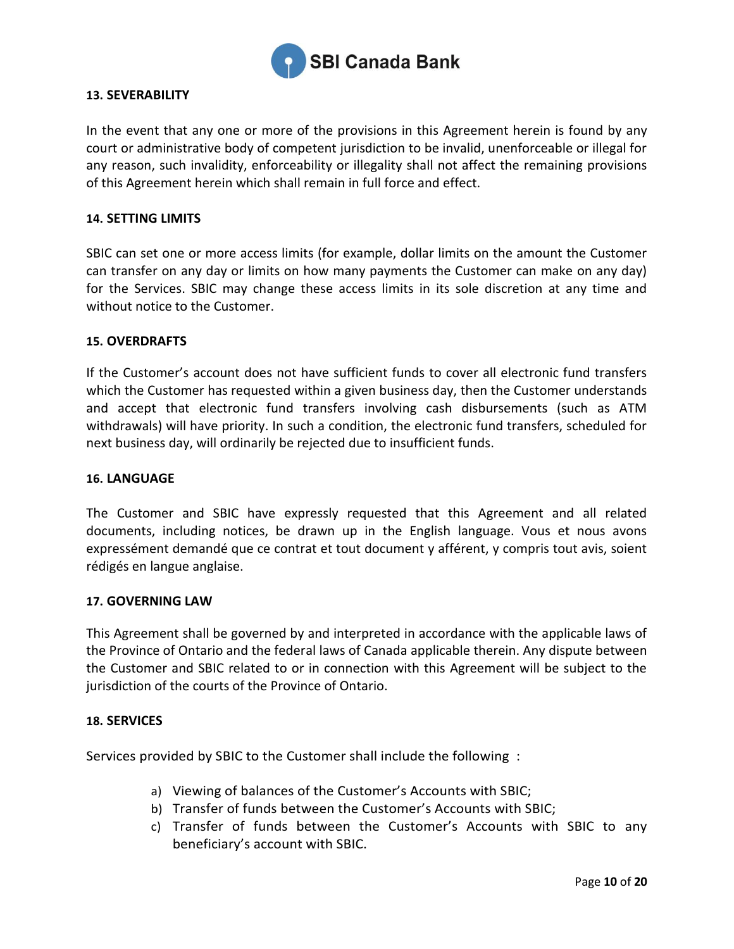

#### **13. SEVERABILITY**

In the event that any one or more of the provisions in this Agreement herein is found by any court or administrative body of competent jurisdiction to be invalid, unenforceable or illegal for any reason, such invalidity, enforceability or illegality shall not affect the remaining provisions of this Agreement herein which shall remain in full force and effect.

#### **14. SETTING LIMITS**

SBIC can set one or more access limits (for example, dollar limits on the amount the Customer can transfer on any day or limits on how many payments the Customer can make on any day) for the Services. SBIC may change these access limits in its sole discretion at any time and without notice to the Customer.

#### **15. OVERDRAFTS**

If the Customer's account does not have sufficient funds to cover all electronic fund transfers which the Customer has requested within a given business day, then the Customer understands and accept that electronic fund transfers involving cash disbursements (such as ATM withdrawals) will have priority. In such a condition, the electronic fund transfers, scheduled for next business day, will ordinarily be rejected due to insufficient funds.

#### **16. LANGUAGE**

The Customer and SBIC have expressly requested that this Agreement and all related documents, including notices, be drawn up in the English language. Vous et nous avons expressément demandé que ce contrat et tout document y afférent, y compris tout avis, soient rédigés en langue anglaise.

#### **17. GOVERNING LAW**

This Agreement shall be governed by and interpreted in accordance with the applicable laws of the Province of Ontario and the federal laws of Canada applicable therein. Any dispute between the Customer and SBIC related to or in connection with this Agreement will be subject to the jurisdiction of the courts of the Province of Ontario.

#### **18. SERVICES**

Services provided by SBIC to the Customer shall include the following :

- a) Viewing of balances of the Customer's Accounts with SBIC;
- b) Transfer of funds between the Customer's Accounts with SBIC;
- c) Transfer of funds between the Customer's Accounts with SBIC to any beneficiary's account with SBIC.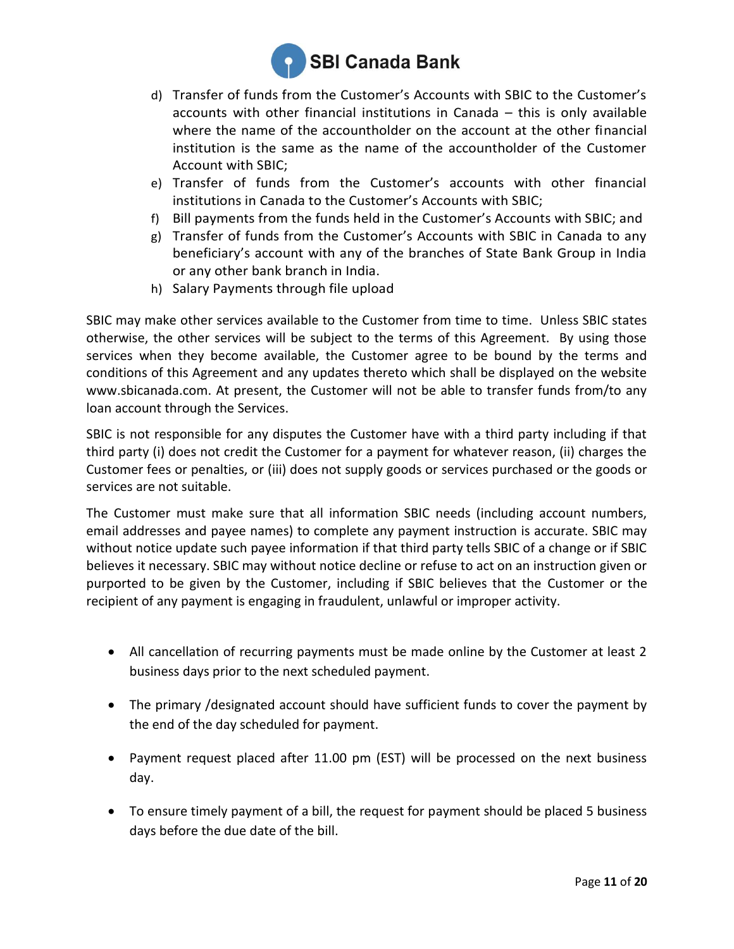

- d) Transfer of funds from the Customer's Accounts with SBIC to the Customer's accounts with other financial institutions in Canada – this is only available where the name of the accountholder on the account at the other financial institution is the same as the name of the accountholder of the Customer Account with SBIC;
- e) Transfer of funds from the Customer's accounts with other financial institutions in Canada to the Customer's Accounts with SBIC;
- f) Bill payments from the funds held in the Customer's Accounts with SBIC; and
- g) Transfer of funds from the Customer's Accounts with SBIC in Canada to any beneficiary's account with any of the branches of State Bank Group in India or any other bank branch in India.
- h) Salary Payments through file upload

SBIC may make other services available to the Customer from time to time. Unless SBIC states otherwise, the other services will be subject to the terms of this Agreement. By using those services when they become available, the Customer agree to be bound by the terms and conditions of this Agreement and any updates thereto which shall be displayed on the website www.sbicanada.com. At present, the Customer will not be able to transfer funds from/to any loan account through the Services.

SBIC is not responsible for any disputes the Customer have with a third party including if that third party (i) does not credit the Customer for a payment for whatever reason, (ii) charges the Customer fees or penalties, or (iii) does not supply goods or services purchased or the goods or services are not suitable.

The Customer must make sure that all information SBIC needs (including account numbers, email addresses and payee names) to complete any payment instruction is accurate. SBIC may without notice update such payee information if that third party tells SBIC of a change or if SBIC believes it necessary. SBIC may without notice decline or refuse to act on an instruction given or purported to be given by the Customer, including if SBIC believes that the Customer or the recipient of any payment is engaging in fraudulent, unlawful or improper activity.

- All cancellation of recurring payments must be made online by the Customer at least 2 business days prior to the next scheduled payment.
- The primary /designated account should have sufficient funds to cover the payment by the end of the day scheduled for payment.
- Payment request placed after 11.00 pm (EST) will be processed on the next business day.
- To ensure timely payment of a bill, the request for payment should be placed 5 business days before the due date of the bill.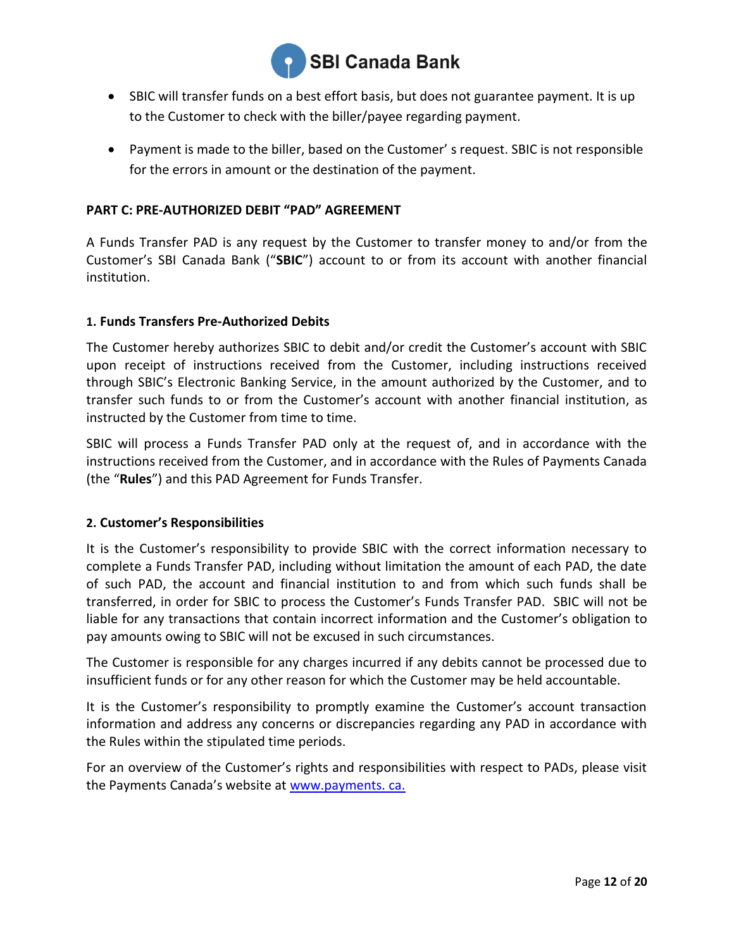

- SBIC will transfer funds on a best effort basis, but does not guarantee payment. It is up to the Customer to check with the biller/payee regarding payment.
- Payment is made to the biller, based on the Customer' s request. SBIC is not responsible for the errors in amount or the destination of the payment.

# **PART C: PRE-AUTHORIZED DEBIT "PAD" AGREEMENT**

A Funds Transfer PAD is any request by the Customer to transfer money to and/or from the Customer's SBI Canada Bank ("**SBIC**") account to or from its account with another financial institution.

#### **1. Funds Transfers Pre-Authorized Debits**

The Customer hereby authorizes SBIC to debit and/or credit the Customer's account with SBIC upon receipt of instructions received from the Customer, including instructions received through SBIC's Electronic Banking Service, in the amount authorized by the Customer, and to transfer such funds to or from the Customer's account with another financial institution, as instructed by the Customer from time to time.

SBIC will process a Funds Transfer PAD only at the request of, and in accordance with the instructions received from the Customer, and in accordance with the Rules of Payments Canada (the "**Rules**") and this PAD Agreement for Funds Transfer.

# **2. Customer's Responsibilities**

It is the Customer's responsibility to provide SBIC with the correct information necessary to complete a Funds Transfer PAD, including without limitation the amount of each PAD, the date of such PAD, the account and financial institution to and from which such funds shall be transferred, in order for SBIC to process the Customer's Funds Transfer PAD. SBIC will not be liable for any transactions that contain incorrect information and the Customer's obligation to pay amounts owing to SBIC will not be excused in such circumstances.

The Customer is responsible for any charges incurred if any debits cannot be processed due to insufficient funds or for any other reason for which the Customer may be held accountable.

It is the Customer's responsibility to promptly examine the Customer's account transaction information and address any concerns or discrepancies regarding any PAD in accordance with the Rules within the stipulated time periods.

For an overview of the Customer's rights and responsibilities with respect to PADs, please visit the Payments Canada's website at www.payments. ca.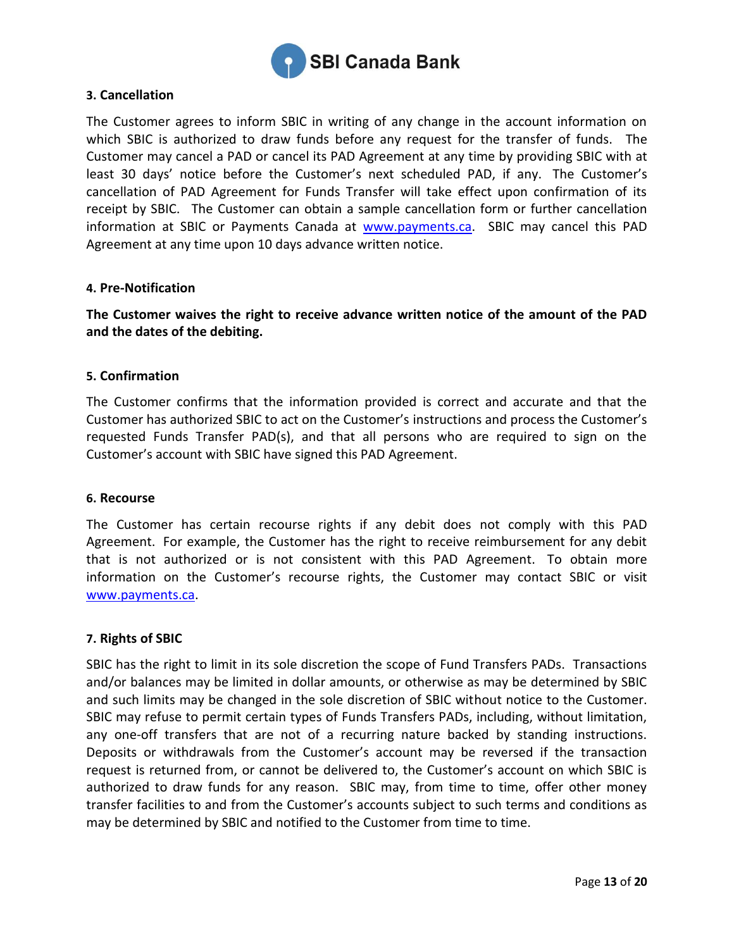

#### **3. Cancellation**

The Customer agrees to inform SBIC in writing of any change in the account information on which SBIC is authorized to draw funds before any request for the transfer of funds. The Customer may cancel a PAD or cancel its PAD Agreement at any time by providing SBIC with at least 30 days' notice before the Customer's next scheduled PAD, if any. The Customer's cancellation of PAD Agreement for Funds Transfer will take effect upon confirmation of its receipt by SBIC. The Customer can obtain a sample cancellation form or further cancellation information at SBIC or Payments Canada at [www.payments.ca.](http://www.payments.ca/) SBIC may cancel this PAD Agreement at any time upon 10 days advance written notice.

#### **4. Pre-Notification**

**The Customer waives the right to receive advance written notice of the amount of the PAD and the dates of the debiting.**

#### **5. Confirmation**

The Customer confirms that the information provided is correct and accurate and that the Customer has authorized SBIC to act on the Customer's instructions and process the Customer's requested Funds Transfer PAD(s), and that all persons who are required to sign on the Customer's account with SBIC have signed this PAD Agreement.

#### **6. Recourse**

The Customer has certain recourse rights if any debit does not comply with this PAD Agreement. For example, the Customer has the right to receive reimbursement for any debit that is not authorized or is not consistent with this PAD Agreement. To obtain more information on the Customer's recourse rights, the Customer may contact SBIC or visit [www.payments.ca.](http://www.payments.ca/)

#### **7. Rights of SBIC**

SBIC has the right to limit in its sole discretion the scope of Fund Transfers PADs. Transactions and/or balances may be limited in dollar amounts, or otherwise as may be determined by SBIC and such limits may be changed in the sole discretion of SBIC without notice to the Customer. SBIC may refuse to permit certain types of Funds Transfers PADs, including, without limitation, any one-off transfers that are not of a recurring nature backed by standing instructions. Deposits or withdrawals from the Customer's account may be reversed if the transaction request is returned from, or cannot be delivered to, the Customer's account on which SBIC is authorized to draw funds for any reason. SBIC may, from time to time, offer other money transfer facilities to and from the Customer's accounts subject to such terms and conditions as may be determined by SBIC and notified to the Customer from time to time.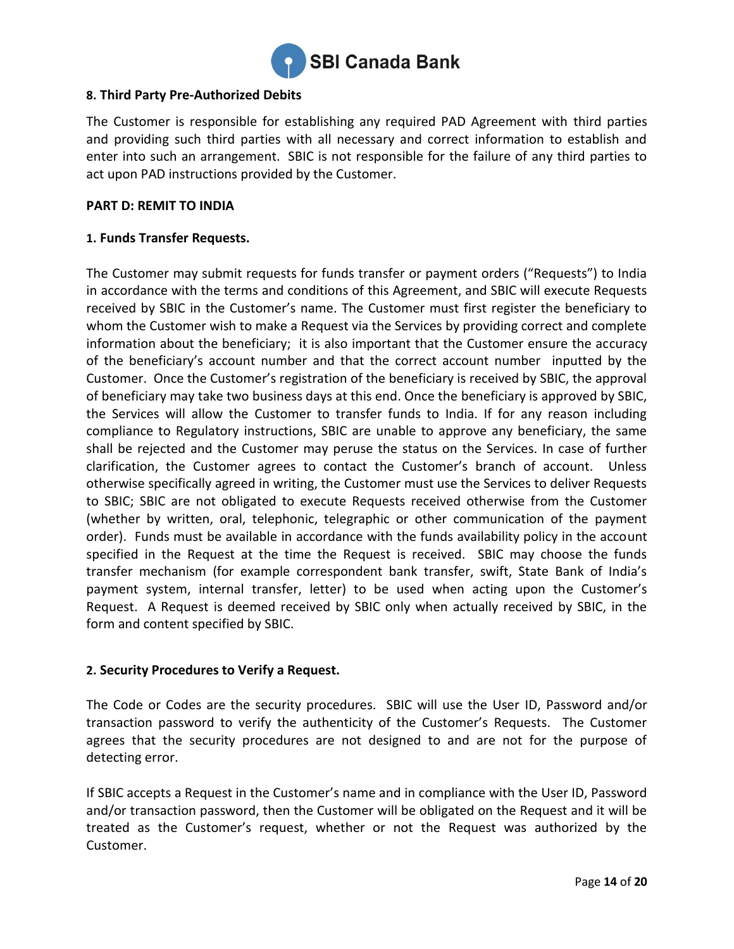

# **8. Third Party Pre-Authorized Debits**

The Customer is responsible for establishing any required PAD Agreement with third parties and providing such third parties with all necessary and correct information to establish and enter into such an arrangement. SBIC is not responsible for the failure of any third parties to act upon PAD instructions provided by the Customer.

#### **PART D: REMIT TO INDIA**

# **1. Funds Transfer Requests.**

The Customer may submit requests for funds transfer or payment orders ("Requests") to India in accordance with the terms and conditions of this Agreement, and SBIC will execute Requests received by SBIC in the Customer's name. The Customer must first register the beneficiary to whom the Customer wish to make a Request via the Services by providing correct and complete information about the beneficiary; it is also important that the Customer ensure the accuracy of the beneficiary's account number and that the correct account number inputted by the Customer. Once the Customer's registration of the beneficiary is received by SBIC, the approval of beneficiary may take two business days at this end. Once the beneficiary is approved by SBIC, the Services will allow the Customer to transfer funds to India. If for any reason including compliance to Regulatory instructions, SBIC are unable to approve any beneficiary, the same shall be rejected and the Customer may peruse the status on the Services. In case of further clarification, the Customer agrees to contact the Customer's branch of account. Unless otherwise specifically agreed in writing, the Customer must use the Services to deliver Requests to SBIC; SBIC are not obligated to execute Requests received otherwise from the Customer (whether by written, oral, telephonic, telegraphic or other communication of the payment order). Funds must be available in accordance with the funds availability policy in the account specified in the Request at the time the Request is received. SBIC may choose the funds transfer mechanism (for example correspondent bank transfer, swift, State Bank of India's payment system, internal transfer, letter) to be used when acting upon the Customer's Request. A Request is deemed received by SBIC only when actually received by SBIC, in the form and content specified by SBIC.

# **2. Security Procedures to Verify a Request.**

The Code or Codes are the security procedures. SBIC will use the User ID, Password and/or transaction password to verify the authenticity of the Customer's Requests. The Customer agrees that the security procedures are not designed to and are not for the purpose of detecting error.

If SBIC accepts a Request in the Customer's name and in compliance with the User ID, Password and/or transaction password, then the Customer will be obligated on the Request and it will be treated as the Customer's request, whether or not the Request was authorized by the Customer.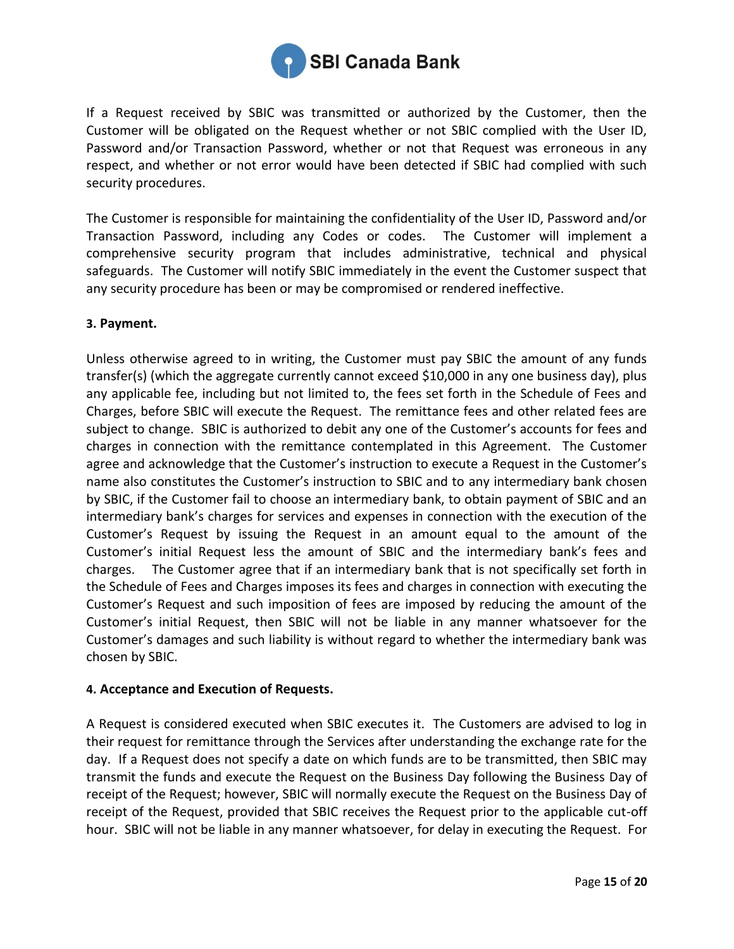

If a Request received by SBIC was transmitted or authorized by the Customer, then the Customer will be obligated on the Request whether or not SBIC complied with the User ID, Password and/or Transaction Password, whether or not that Request was erroneous in any respect, and whether or not error would have been detected if SBIC had complied with such security procedures.

The Customer is responsible for maintaining the confidentiality of the User ID, Password and/or Transaction Password, including any Codes or codes. The Customer will implement a comprehensive security program that includes administrative, technical and physical safeguards. The Customer will notify SBIC immediately in the event the Customer suspect that any security procedure has been or may be compromised or rendered ineffective.

# **3. Payment.**

Unless otherwise agreed to in writing, the Customer must pay SBIC the amount of any funds transfer(s) (which the aggregate currently cannot exceed \$10,000 in any one business day), plus any applicable fee, including but not limited to, the fees set forth in the Schedule of Fees and Charges, before SBIC will execute the Request. The remittance fees and other related fees are subject to change. SBIC is authorized to debit any one of the Customer's accounts for fees and charges in connection with the remittance contemplated in this Agreement. The Customer agree and acknowledge that the Customer's instruction to execute a Request in the Customer's name also constitutes the Customer's instruction to SBIC and to any intermediary bank chosen by SBIC, if the Customer fail to choose an intermediary bank, to obtain payment of SBIC and an intermediary bank's charges for services and expenses in connection with the execution of the Customer's Request by issuing the Request in an amount equal to the amount of the Customer's initial Request less the amount of SBIC and the intermediary bank's fees and charges. The Customer agree that if an intermediary bank that is not specifically set forth in the Schedule of Fees and Charges imposes its fees and charges in connection with executing the Customer's Request and such imposition of fees are imposed by reducing the amount of the Customer's initial Request, then SBIC will not be liable in any manner whatsoever for the Customer's damages and such liability is without regard to whether the intermediary bank was chosen by SBIC.

# **4. Acceptance and Execution of Requests.**

A Request is considered executed when SBIC executes it. The Customers are advised to log in their request for remittance through the Services after understanding the exchange rate for the day. If a Request does not specify a date on which funds are to be transmitted, then SBIC may transmit the funds and execute the Request on the Business Day following the Business Day of receipt of the Request; however, SBIC will normally execute the Request on the Business Day of receipt of the Request, provided that SBIC receives the Request prior to the applicable cut-off hour. SBIC will not be liable in any manner whatsoever, for delay in executing the Request. For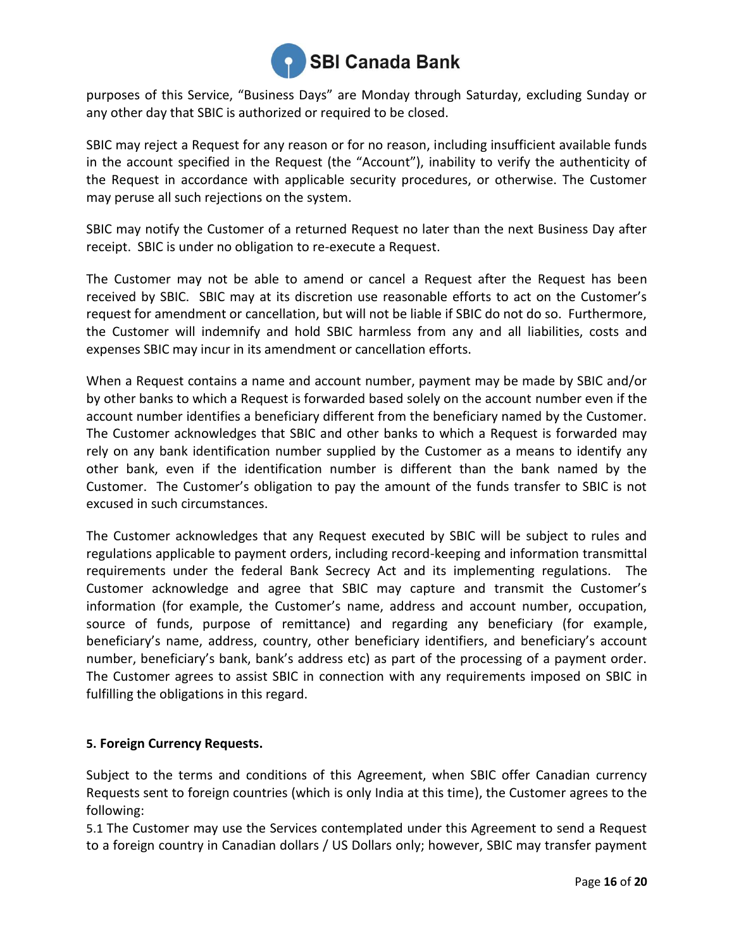

purposes of this Service, "Business Days" are Monday through Saturday, excluding Sunday or any other day that SBIC is authorized or required to be closed.

SBIC may reject a Request for any reason or for no reason, including insufficient available funds in the account specified in the Request (the "Account"), inability to verify the authenticity of the Request in accordance with applicable security procedures, or otherwise. The Customer may peruse all such rejections on the system.

SBIC may notify the Customer of a returned Request no later than the next Business Day after receipt. SBIC is under no obligation to re-execute a Request.

The Customer may not be able to amend or cancel a Request after the Request has been received by SBIC. SBIC may at its discretion use reasonable efforts to act on the Customer's request for amendment or cancellation, but will not be liable if SBIC do not do so. Furthermore, the Customer will indemnify and hold SBIC harmless from any and all liabilities, costs and expenses SBIC may incur in its amendment or cancellation efforts.

When a Request contains a name and account number, payment may be made by SBIC and/or by other banks to which a Request is forwarded based solely on the account number even if the account number identifies a beneficiary different from the beneficiary named by the Customer. The Customer acknowledges that SBIC and other banks to which a Request is forwarded may rely on any bank identification number supplied by the Customer as a means to identify any other bank, even if the identification number is different than the bank named by the Customer. The Customer's obligation to pay the amount of the funds transfer to SBIC is not excused in such circumstances.

The Customer acknowledges that any Request executed by SBIC will be subject to rules and regulations applicable to payment orders, including record-keeping and information transmittal requirements under the federal Bank Secrecy Act and its implementing regulations. The Customer acknowledge and agree that SBIC may capture and transmit the Customer's information (for example, the Customer's name, address and account number, occupation, source of funds, purpose of remittance) and regarding any beneficiary (for example, beneficiary's name, address, country, other beneficiary identifiers, and beneficiary's account number, beneficiary's bank, bank's address etc) as part of the processing of a payment order. The Customer agrees to assist SBIC in connection with any requirements imposed on SBIC in fulfilling the obligations in this regard.

# **5. Foreign Currency Requests.**

Subject to the terms and conditions of this Agreement, when SBIC offer Canadian currency Requests sent to foreign countries (which is only India at this time), the Customer agrees to the following:

5.1 The Customer may use the Services contemplated under this Agreement to send a Request to a foreign country in Canadian dollars / US Dollars only; however, SBIC may transfer payment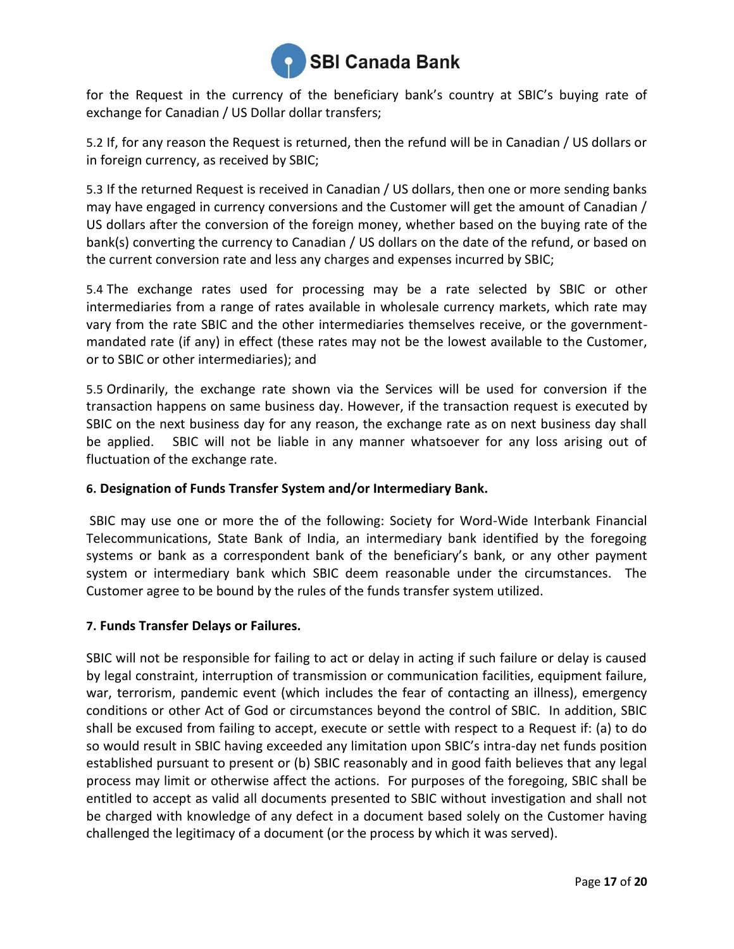

for the Request in the currency of the beneficiary bank's country at SBIC's buying rate of exchange for Canadian / US Dollar dollar transfers;

5.2 If, for any reason the Request is returned, then the refund will be in Canadian / US dollars or in foreign currency, as received by SBIC;

5.3 If the returned Request is received in Canadian / US dollars, then one or more sending banks may have engaged in currency conversions and the Customer will get the amount of Canadian / US dollars after the conversion of the foreign money, whether based on the buying rate of the bank(s) converting the currency to Canadian / US dollars on the date of the refund, or based on the current conversion rate and less any charges and expenses incurred by SBIC;

5.4 The exchange rates used for processing may be a rate selected by SBIC or other intermediaries from a range of rates available in wholesale currency markets, which rate may vary from the rate SBIC and the other intermediaries themselves receive, or the governmentmandated rate (if any) in effect (these rates may not be the lowest available to the Customer, or to SBIC or other intermediaries); and

5.5 Ordinarily, the exchange rate shown via the Services will be used for conversion if the transaction happens on same business day. However, if the transaction request is executed by SBIC on the next business day for any reason, the exchange rate as on next business day shall be applied. SBIC will not be liable in any manner whatsoever for any loss arising out of fluctuation of the exchange rate.

# **6. Designation of Funds Transfer System and/or Intermediary Bank.**

SBIC may use one or more the of the following: Society for Word-Wide Interbank Financial Telecommunications, State Bank of India, an intermediary bank identified by the foregoing systems or bank as a correspondent bank of the beneficiary's bank, or any other payment system or intermediary bank which SBIC deem reasonable under the circumstances. The Customer agree to be bound by the rules of the funds transfer system utilized.

# **7. Funds Transfer Delays or Failures.**

SBIC will not be responsible for failing to act or delay in acting if such failure or delay is caused by legal constraint, interruption of transmission or communication facilities, equipment failure, war, terrorism, pandemic event (which includes the fear of contacting an illness), emergency conditions or other Act of God or circumstances beyond the control of SBIC. In addition, SBIC shall be excused from failing to accept, execute or settle with respect to a Request if: (a) to do so would result in SBIC having exceeded any limitation upon SBIC's intra-day net funds position established pursuant to present or (b) SBIC reasonably and in good faith believes that any legal process may limit or otherwise affect the actions. For purposes of the foregoing, SBIC shall be entitled to accept as valid all documents presented to SBIC without investigation and shall not be charged with knowledge of any defect in a document based solely on the Customer having challenged the legitimacy of a document (or the process by which it was served).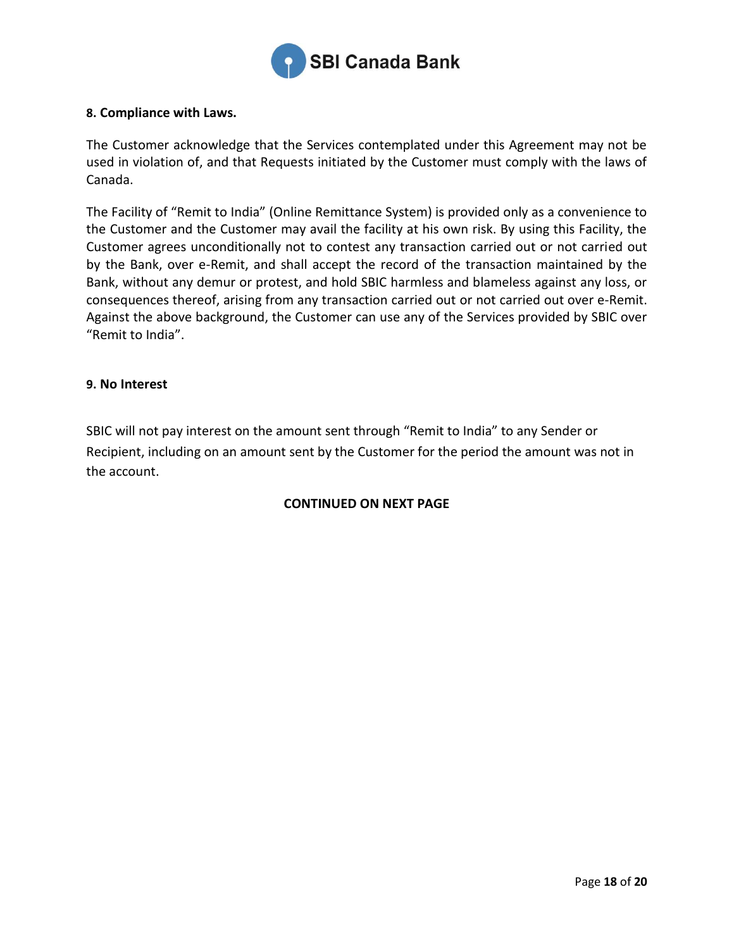

#### **8. Compliance with Laws.**

The Customer acknowledge that the Services contemplated under this Agreement may not be used in violation of, and that Requests initiated by the Customer must comply with the laws of Canada.

The Facility of "Remit to India" (Online Remittance System) is provided only as a convenience to the Customer and the Customer may avail the facility at his own risk. By using this Facility, the Customer agrees unconditionally not to contest any transaction carried out or not carried out by the Bank, over e-Remit, and shall accept the record of the transaction maintained by the Bank, without any demur or protest, and hold SBIC harmless and blameless against any loss, or consequences thereof, arising from any transaction carried out or not carried out over e-Remit. Against the above background, the Customer can use any of the Services provided by SBIC over "Remit to India".

#### **9. No Interest**

SBIC will not pay interest on the amount sent through "Remit to India" to any Sender or Recipient, including on an amount sent by the Customer for the period the amount was not in the account.

# **CONTINUED ON NEXT PAGE**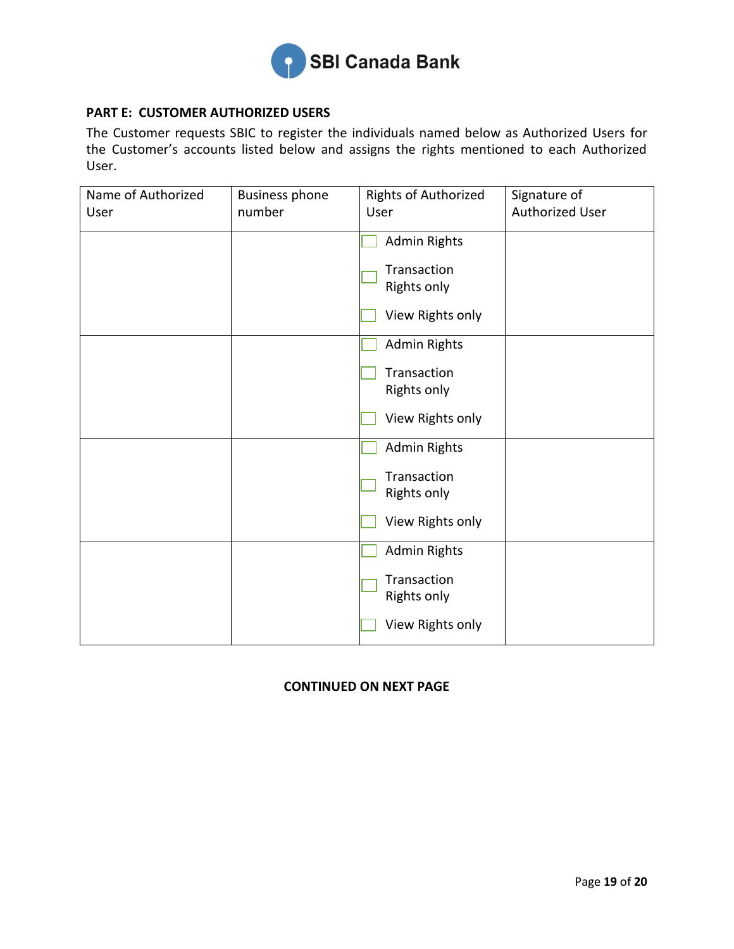

# **PART E: CUSTOMER AUTHORIZED USERS**

The Customer requests SBIC to register the individuals named below as Authorized Users for the Customer's accounts listed below and assigns the rights mentioned to each Authorized User.

| Name of Authorized | <b>Business phone</b> | Rights of Authorized              | Signature of           |
|--------------------|-----------------------|-----------------------------------|------------------------|
| User               | number                | User                              | <b>Authorized User</b> |
|                    |                       | <b>Admin Rights</b>               |                        |
|                    |                       | Transaction<br><b>Rights only</b> |                        |
|                    |                       | View Rights only                  |                        |
|                    |                       | <b>Admin Rights</b>               |                        |
|                    |                       | Transaction<br>Rights only        |                        |
|                    |                       | View Rights only                  |                        |
|                    |                       | <b>Admin Rights</b>               |                        |
|                    |                       | Transaction<br>Rights only        |                        |
|                    |                       | View Rights only                  |                        |
|                    |                       | <b>Admin Rights</b>               |                        |
|                    |                       | Transaction<br>Rights only        |                        |
|                    |                       | View Rights only                  |                        |

# **CONTINUED ON NEXT PAGE**